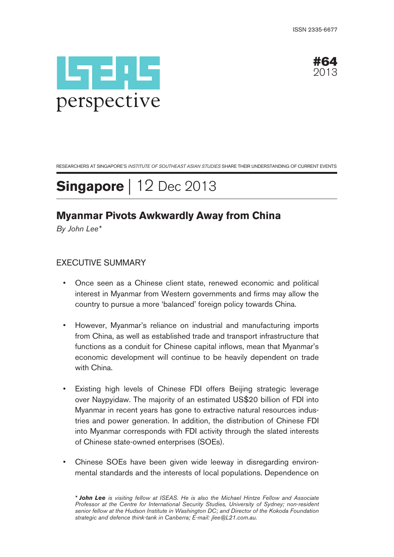



RESEARCHERS AT SINGAPORE'S INSTITUTE OF SOUTHEAST ASIAN STUDIES SHARE THEIR UNDERSTANDING OF CURRENT EVENTS

# **Singapore** | 12 Dec 2013

# **Myanmar Pivots Awkwardly Away from China**

By John Lee\*

# EXECUTIVE SUMMARY

- Once seen as a Chinese client state, renewed economic and political interest in Myanmar from Western governments and firms may allow the country to pursue a more 'balanced' foreign policy towards China.
- However, Myanmar's reliance on industrial and manufacturing imports from China, as well as established trade and transport infrastructure that functions as a conduit for Chinese capital inflows, mean that Myanmar's economic development will continue to be heavily dependent on trade with China.
- Existing high levels of Chinese FDI offers Beijing strategic leverage over Naypyidaw. The majority of an estimated US\$20 billion of FDI into Myanmar in recent years has gone to extractive natural resources industries and power generation. In addition, the distribution of Chinese FDI into Myanmar corresponds with FDI activity through the slated interests of Chinese state-owned enterprises (SOEs).
- Chinese SOEs have been given wide leeway in disregarding environmental standards and the interests of local populations. Dependence on

**\* John Lee** is visiting fellow at ISEAS. He is also the Michael Hintze Fellow and Associate Professor at the Centre for International Security Studies, University of Sydney; non-resident senior fellow at the Hudson Institute in Washington DC; and Director of the Kokoda Foundation strategic and defence think-tank in Canberra; E-mail: jlee@L21.com.au.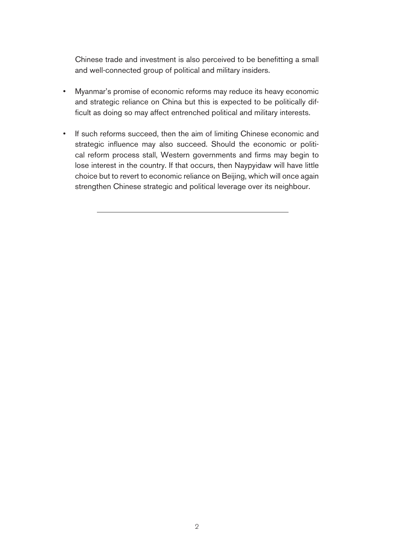Chinese trade and investment is also perceived to be benefitting a small and well-connected group of political and military insiders.

- Myanmar's promise of economic reforms may reduce its heavy economic and strategic reliance on China but this is expected to be politically difficult as doing so may affect entrenched political and military interests.
- If such reforms succeed, then the aim of limiting Chinese economic and strategic influence may also succeed. Should the economic or political reform process stall, Western governments and firms may begin to lose interest in the country. If that occurs, then Naypyidaw will have little choice but to revert to economic reliance on Beijing, which will once again strengthen Chinese strategic and political leverage over its neighbour.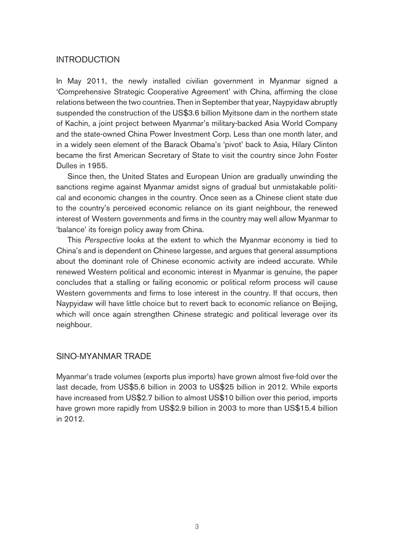#### INTRODUCTION

In May 2011, the newly installed civilian government in Myanmar signed a 'Comprehensive Strategic Cooperative Agreement' with China, affirming the close relations between the two countries. Then in September that year, Naypyidaw abruptly suspended the construction of the US\$3.6 billion Myitsone dam in the northern state of Kachin, a joint project between Myanmar's military-backed Asia World Company and the state-owned China Power Investment Corp. Less than one month later, and in a widely seen element of the Barack Obama's 'pivot' back to Asia, Hilary Clinton became the first American Secretary of State to visit the country since John Foster Dulles in 1955.

Since then, the United States and European Union are gradually unwinding the sanctions regime against Myanmar amidst signs of gradual but unmistakable political and economic changes in the country. Once seen as a Chinese client state due to the country's perceived economic reliance on its giant neighbour, the renewed interest of Western governments and firms in the country may well allow Myanmar to 'balance' its foreign policy away from China.

This Perspective looks at the extent to which the Myanmar economy is tied to China's and is dependent on Chinese largesse, and argues that general assumptions about the dominant role of Chinese economic activity are indeed accurate. While renewed Western political and economic interest in Myanmar is genuine, the paper concludes that a stalling or failing economic or political reform process will cause Western governments and firms to lose interest in the country. If that occurs, then Naypyidaw will have little choice but to revert back to economic reliance on Beijing, which will once again strengthen Chinese strategic and political leverage over its neighbour.

## SINO-MYANMAR TRADE

Myanmar's trade volumes (exports plus imports) have grown almost five-fold over the last decade, from US\$5.6 billion in 2003 to US\$25 billion in 2012. While exports have increased from US\$2.7 billion to almost US\$10 billion over this period, imports have grown more rapidly from US\$2.9 billion in 2003 to more than US\$15.4 billion in 2012.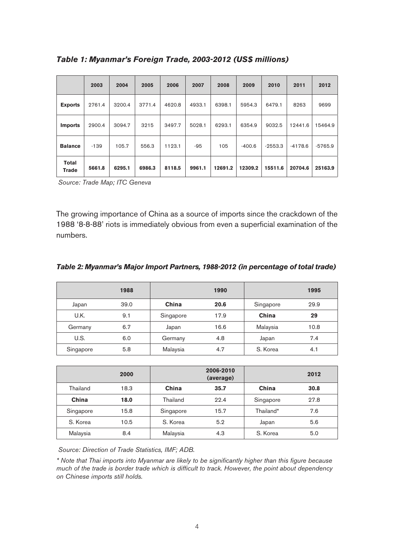|                              | 2003   | 2004   | 2005   | 2006   | 2007   | 2008    | 2009     | 2010      | 2011      | 2012      |
|------------------------------|--------|--------|--------|--------|--------|---------|----------|-----------|-----------|-----------|
| <b>Exports</b>               | 2761.4 | 3200.4 | 3771.4 | 4620.8 | 4933.1 | 6398.1  | 5954.3   | 6479.1    | 8263      | 9699      |
| <b>Imports</b>               | 2900.4 | 3094.7 | 3215   | 3497.7 | 5028.1 | 6293.1  | 6354.9   | 9032.5    | 12441.6   | 15464.9   |
| <b>Balance</b>               | $-139$ | 105.7  | 556.3  | 1123.1 | -95    | 105     | $-400.6$ | $-2553.3$ | $-4178.6$ | $-5765.9$ |
| <b>Total</b><br><b>Trade</b> | 5661.8 | 6295.1 | 6986.3 | 8118.5 | 9961.1 | 12691.2 | 12309.2  | 15511.6   | 20704.6   | 25163.9   |

**Table 1: Myanmar's Foreign Trade, 2003-2012 (US\$ millions)**

Source: Trade Map; ITC Geneva

The growing importance of China as a source of imports since the crackdown of the 1988 '8-8-88' riots is immediately obvious from even a superficial examination of the numbers.

#### **Table 2: Myanmar's Major Import Partners, 1988-2012 (in percentage of total trade)**

|           | 1988 |              | 1990 |              | 1995 |
|-----------|------|--------------|------|--------------|------|
| Japan     | 39.0 | <b>China</b> | 20.6 | Singapore    | 29.9 |
| U.K.      | 9.1  | Singapore    | 17.9 | <b>China</b> | 29   |
| Germany   | 6.7  | Japan        | 16.6 | Malaysia     | 10.8 |
| U.S.      | 6.0  | Germany      | 4.8  | Japan        | 7.4  |
| Singapore | 5.8  | Malaysia     | 4.7  | S. Korea     | 4.1  |

|              | 2000 |           | 2006-2010<br>(average) |           | 2012 |
|--------------|------|-----------|------------------------|-----------|------|
| Thailand     | 18.3 | China     | 35.7                   | China     | 30.8 |
| <b>China</b> | 18.0 | Thailand  | 22.4                   | Singapore | 27.8 |
| Singapore    | 15.8 | Singapore | 15.7                   | Thailand* | 7.6  |
| S. Korea     | 10.5 | S. Korea  | 5.2                    | Japan     | 5.6  |
| Malaysia     | 8.4  | Malaysia  | 4.3                    | S. Korea  | 5.0  |

Source: Direction of Trade Statistics, IMF; ADB.

\* Note that Thai imports into Myanmar are likely to be significantly higher than this figure because much of the trade is border trade which is difficult to track. However, the point about dependency on Chinese imports still holds.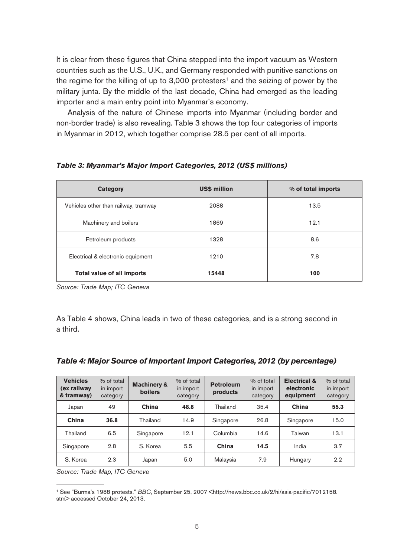It is clear from these figures that China stepped into the import vacuum as Western countries such as the U.S., U.K., and Germany responded with punitive sanctions on the regime for the killing of up to 3,000 protesters<sup>1</sup> and the seizing of power by the military junta. By the middle of the last decade, China had emerged as the leading importer and a main entry point into Myanmar's economy.

Analysis of the nature of Chinese imports into Myanmar (including border and non-border trade) is also revealing. Table 3 shows the top four categories of imports in Myanmar in 2012, which together comprise 28.5 per cent of all imports.

#### **Table 3: Myanmar's Major Import Categories, 2012 (US\$ millions)**

| Category                             | US\$ million | % of total imports |  |
|--------------------------------------|--------------|--------------------|--|
| Vehicles other than railway, tramway | 2088         | 13.5               |  |
| Machinery and boilers                | 1869         | 12.1               |  |
| Petroleum products                   | 1328         | 8.6                |  |
| Electrical & electronic equipment    | 1210         | 7.8                |  |
| Total value of all imports           | 15448        | 100                |  |

Source: Trade Map; ITC Geneva

As Table 4 shows, China leads in two of these categories, and is a strong second in a third.

## **Table 4: Major Source of Important Import Categories, 2012 (by percentage)**

| <b>Vehicles</b><br>(ex railway<br>& tramway) | % of total<br>in import<br>category | <b>Machinery &amp;</b><br><b>boilers</b> | % of total<br>in import<br>category | <b>Petroleum</b><br>products | % of total<br>in import<br>category | <b>Electrical &amp;</b><br>electronic<br>equipment | % of total<br>in import<br>category |
|----------------------------------------------|-------------------------------------|------------------------------------------|-------------------------------------|------------------------------|-------------------------------------|----------------------------------------------------|-------------------------------------|
| Japan                                        | 49                                  | China                                    | 48.8                                | Thailand                     | 35.4                                | China                                              | 55.3                                |
| China                                        | 36.8                                | Thailand                                 | 14.9                                | Singapore                    | 26.8                                | Singapore                                          | 15.0                                |
| Thailand                                     | 6.5                                 | Singapore                                | 12.1                                | Columbia                     | 14.6                                | Taiwan                                             | 13.1                                |
| Singapore                                    | 2.8                                 | S. Korea                                 | 5.5                                 | <b>China</b>                 | 14.5                                | India                                              | 3.7                                 |
| S. Korea                                     | 2.3                                 | Japan                                    | 5.0                                 | Malaysia                     | 7.9                                 | Hungary                                            | 2.2                                 |

Source: Trade Map, ITC Geneva

<sup>&</sup>lt;sup>1</sup> See "Burma's 1988 protests," BBC, September 25, 2007 <http://news.bbc.co.uk/2/hi/asia-pacific/7012158. stm> accessed October 24, 2013.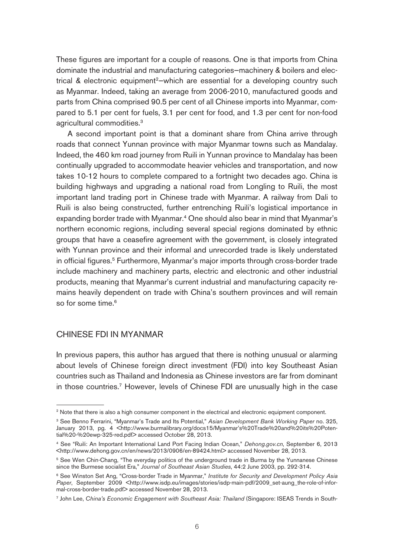These figures are important for a couple of reasons. One is that imports from China dominate the industrial and manufacturing categories—machinery & boilers and electrical & electronic equipment<sup>2</sup>-which are essential for a developing country such as Myanmar. Indeed, taking an average from 2006-2010, manufactured goods and parts from China comprised 90.5 per cent of all Chinese imports into Myanmar, compared to 5.1 per cent for fuels, 3.1 per cent for food, and 1.3 per cent for non-food agricultural commodities.<sup>3</sup>

A second important point is that a dominant share from China arrive through roads that connect Yunnan province with major Myanmar towns such as Mandalay. Indeed, the 460 km road journey from Ruili in Yunnan province to Mandalay has been continually upgraded to accommodate heavier vehicles and transportation, and now takes 10-12 hours to complete compared to a fortnight two decades ago. China is building highways and upgrading a national road from Longling to Ruili, the most important land trading port in Chinese trade with Myanmar. A railway from Dali to Ruili is also being constructed, further entrenching Ruili's logistical importance in expanding border trade with Myanmar.<sup>4</sup> One should also bear in mind that Myanmar's northern economic regions, including several special regions dominated by ethnic groups that have a ceasefire agreement with the government, is closely integrated with Yunnan province and their informal and unrecorded trade is likely understated in official figures.<sup>5</sup> Furthermore, Myanmar's major imports through cross-border trade include machinery and machinery parts, electric and electronic and other industrial products, meaning that Myanmar's current industrial and manufacturing capacity remains heavily dependent on trade with China's southern provinces and will remain so for some time. $6$ 

#### CHINESE FDI IN MYANMAR

In previous papers, this author has argued that there is nothing unusual or alarming about levels of Chinese foreign direct investment (FDI) into key Southeast Asian countries such as Thailand and Indonesia as Chinese investors are far from dominant in those countries.<sup>7</sup> However, levels of Chinese FDI are unusually high in the case

<sup>&</sup>lt;sup>2</sup> Note that there is also a high consumer component in the electrical and electronic equipment component.

<sup>&</sup>lt;sup>3</sup> See Benno Ferrarini, "Myanmar's Trade and Its Potential," Asian Development Bank Working Paper no. 325, January 2013, pg. 4 <http://www.burmalibrary.org/docs15/Myanmar's%20Trade%20and%20its%20Potential%20-%20ewp-325-red.pdf> accessed October 28, 2013.

<sup>4</sup> See "Ruili: An Important International Land Port Facing Indian Ocean," Dehong.gov.cn, September 6, 2013 <http://www.dehong.gov.cn/en/news/2013/0906/en-89424.html> accessed November 28, 2013.

<sup>&</sup>lt;sup>5</sup> See Wen Chin-Chang, "The everyday politics of the underground trade in Burma by the Yunnanese Chinese since the Burmese socialist Era," Journal of Southeast Asian Studies, 44:2 June 2003, pp. 292-314.

<sup>&</sup>lt;sup>6</sup> See Winston Set Ang, "Cross-border Trade in Myanmar," Institute for Security and Development Policy Asia Paper, September 2009 <http://www.isdp.eu/images/stories/isdp-main-pdf/2009\_set-aung\_the-role-of-informal-cross-border-trade.pdf> accessed November 28, 2013.

<sup>7</sup> John Lee, China's Economic Engagement with Southeast Asia: Thailand (Singapore: ISEAS Trends in South-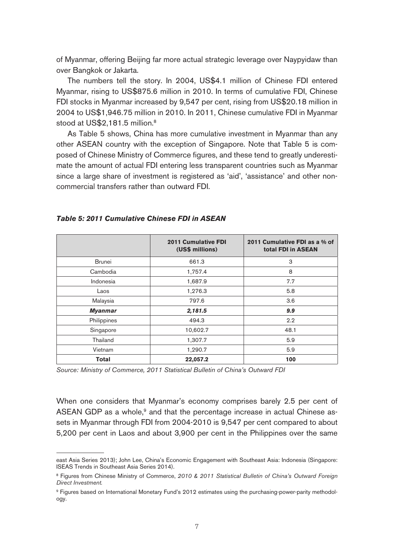of Myanmar, offering Beijing far more actual strategic leverage over Naypyidaw than over Bangkok or Jakarta.

The numbers tell the story. In 2004, US\$4.1 million of Chinese FDI entered Myanmar, rising to US\$875.6 million in 2010. In terms of cumulative FDI, Chinese FDI stocks in Myanmar increased by 9,547 per cent, rising from US\$20.18 million in 2004 to US\$1,946.75 million in 2010. In 2011, Chinese cumulative FDI in Myanmar stood at US\$2,181.5 million.<sup>8</sup>

As Table 5 shows, China has more cumulative investment in Myanmar than any other ASEAN country with the exception of Singapore. Note that Table 5 is composed of Chinese Ministry of Commerce figures, and these tend to greatly underestimate the amount of actual FDI entering less transparent countries such as Myanmar since a large share of investment is registered as 'aid', 'assistance' and other noncommercial transfers rather than outward FDI.

|                | <b>2011 Cumulative FDI</b><br>(US\$ millions) | 2011 Cumulative FDI as a % of<br>total FDI in ASEAN |
|----------------|-----------------------------------------------|-----------------------------------------------------|
| <b>Brunei</b>  | 661.3                                         | 3                                                   |
| Cambodia       | 1,757.4                                       | 8                                                   |
| Indonesia      | 1,687.9                                       | 7.7                                                 |
| Laos           | 1,276.3                                       | 5.8                                                 |
| Malaysia       | 797.6                                         | 3.6                                                 |
| <b>Myanmar</b> | 2,181.5                                       | 9.9                                                 |
| Philippines    | 494.3                                         | 2.2                                                 |
| Singapore      | 10,602.7                                      | 48.1                                                |
| Thailand       | 1,307.7                                       | 5.9                                                 |
| Vietnam        | 1,290.7                                       | 5.9                                                 |
| Total          | 22,057.2                                      | 100                                                 |

| <b>Table 5: 2011 Cumulative Chinese FDI in ASEAN</b> |  |
|------------------------------------------------------|--|
|------------------------------------------------------|--|

Source: Ministry of Commerce, 2011 Statistical Bulletin of China's Outward FDI

When one considers that Myanmar's economy comprises barely 2.5 per cent of ASEAN GDP as a whole,<sup>9</sup> and that the percentage increase in actual Chinese assets in Myanmar through FDI from 2004-2010 is 9,547 per cent compared to about 5,200 per cent in Laos and about 3,900 per cent in the Philippines over the same

east Asia Series 2013); John Lee, China's Economic Engagement with Southeast Asia: Indonesia (Singapore: ISEAS Trends in Southeast Asia Series 2014).

<sup>&</sup>lt;sup>8</sup> Figures from Chinese Ministry of Commerce, 2010 & 2011 Statistical Bulletin of China's Outward Foreign Direct Investment.

<sup>9</sup> Figures based on International Monetary Fund's 2012 estimates using the purchasing-power-parity methodology.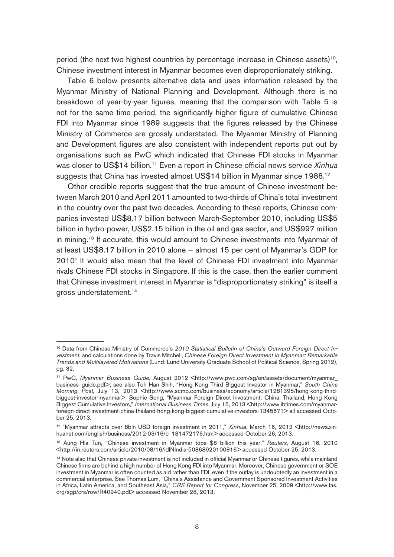period (the next two highest countries by percentage increase in Chinese assets)<sup>10</sup>, Chinese investment interest in Myanmar becomes even disproportionately striking.

Table 6 below presents alternative data and uses information released by the Myanmar Ministry of National Planning and Development. Although there is no breakdown of year-by-year figures, meaning that the comparison with Table 5 is not for the same time period, the significantly higher figure of cumulative Chinese FDI into Myanmar since 1989 suggests that the figures released by the Chinese Ministry of Commerce are grossly understated. The Myanmar Ministry of Planning and Development figures are also consistent with independent reports put out by organisations such as PwC which indicated that Chinese FDI stocks in Myanmar was closer to US\$14 billion.<sup>11</sup> Even a report in Chinese official news service *Xinhua* suggests that China has invested almost US\$14 billion in Myanmar since 1988.<sup>12</sup>

Other credible reports suggest that the true amount of Chinese investment between March 2010 and April 2011 amounted to two-thirds of China's total investment in the country over the past two decades. According to these reports, Chinese companies invested US\$8.17 billion between March-September 2010, including US\$5 billion in hydro-power, US\$2.15 billion in the oil and gas sector, and US\$997 million in mining.13 If accurate, this would amount to Chinese investments into Myanmar of at least US\$8.17 billion in 2010 alone — almost 15 per cent of Myanmar's GDP for 2010! It would also mean that the level of Chinese FDI investment into Myanmar rivals Chinese FDI stocks in Singapore. If this is the case, then the earlier comment that Chinese investment interest in Myanmar is "disproportionately striking" is itself a gross understatement.14

<sup>&</sup>lt;sup>10</sup> Data from Chinese Ministry of Commerce's 2010 Statistical Bulletin of China's Outward Foreign Direct Investment, and calculations done by Travis Mitchell, Chinese Foreign Direct Investment in Myanmar: Remarkable Trends and Multilayered Motivations (Lund: Lund University Graduate School of Political Science, Spring 2012), pg. 32.

<sup>&</sup>lt;sup>11</sup> PwC, Myanmar Business Guide, August 2012 <http://www.pwc.com/sg/en/assets/document/myanmar\_ business\_quide.pdf>; see also Toh Han Shih, "Hong Kong Third Biggest Investor in Myanmar," South China Morning Post, July 13, 2013 <http://www.scmp.com/business/economy/article/1281395/hong-kong-thirdbiggest-investor-myanmar>; Sophie Song, "Myanmar Foreign Direct Investment: China, Thailand, Hong Kong Biggest Cumulative Investors," International Business Times, July 15, 2013 <http://www.ibtimes.com/myanmarforeign-direct-investment-china-thailand-hong-kong-biggest-cumulative-investors-1345671> all accessed October 25, 2013.

<sup>&</sup>lt;sup>12</sup> "Myanmar attracts over 8bln USD foreign investment in 2011," Xinhua, March 16, 2012 <http://news.xinhuanet.com/english/business/2012-03/16/c\_131472176.htm> accessed October 26, 2013.

<sup>&</sup>lt;sup>13</sup> Aung Hla Tun, "Chinese investment in Myanmar tops \$8 billion this year," Reuters, August 16, 2010 <http://in.reuters.com/article/2010/08/16/idINIndia-50868920100816> accessed October 25, 2013.

<sup>&</sup>lt;sup>14</sup> Note also that Chinese private investment is not included in official Myanmar or Chinese figures, while mainland Chinese firms are behind a high number of Hong Kong FDI into Myanmar. Moreover, Chinese government or SOE investment in Myanmar is often counted as aid rather than FDI, even if the outlay is undoubtedly an investment in a commercial enterprise. See Thomas Lum, "China's Assistance and Government Sponsored Investment Activities in Africa, Latin America, and Southeast Asia," CRS Report for Congress, November 25, 2009 <http://www.fas. org/sgp/crs/row/R40940.pdf> accessed November 28, 2013.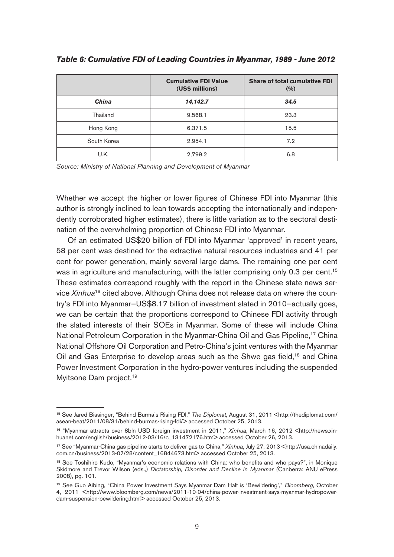|              | <b>Cumulative FDI Value</b><br>(US\$ millions) | <b>Share of total cumulative FDI</b><br>(% ) |  |  |
|--------------|------------------------------------------------|----------------------------------------------|--|--|
| <b>China</b> | 14,142.7                                       | 34.5                                         |  |  |
| Thailand     | 9,568.1                                        | 23.3                                         |  |  |
| Hong Kong    | 6,371.5                                        | 15.5                                         |  |  |
| South Korea  | 2,954.1                                        | 7.2                                          |  |  |
| U.K.         | 2,799.2                                        | 6.8                                          |  |  |

#### **Table 6: Cumulative FDI of Leading Countries in Myanmar, 1989 - June 2012**

Source: Ministry of National Planning and Development of Myanmar

Whether we accept the higher or lower figures of Chinese FDI into Myanmar (this author is strongly inclined to lean towards accepting the internationally and independently corroborated higher estimates), there is little variation as to the sectoral destination of the overwhelming proportion of Chinese FDI into Myanmar.

Of an estimated US\$20 billion of FDI into Myanmar 'approved' in recent years, 58 per cent was destined for the extractive natural resources industries and 41 per cent for power generation, mainly several large dams. The remaining one per cent was in agriculture and manufacturing, with the latter comprising only 0.3 per cent.<sup>15</sup> These estimates correspond roughly with the report in the Chinese state news service Xinhua<sup>16</sup> cited above. Although China does not release data on where the country's FDI into Myanmar—US\$8.17 billion of investment slated in 2010—actually goes, we can be certain that the proportions correspond to Chinese FDI activity through the slated interests of their SOEs in Myanmar. Some of these will include China National Petroleum Corporation in the Myanmar-China Oil and Gas Pipeline,<sup>17</sup> China National Offshore Oil Corporation and Petro-China's joint ventures with the Myanmar Oil and Gas Enterprise to develop areas such as the Shwe gas field,<sup>18</sup> and China Power Investment Corporation in the hydro-power ventures including the suspended Myitsone Dam project.<sup>19</sup>

<sup>&</sup>lt;sup>15</sup> See Jared Bissinger, "Behind Burma's Rising FDI," The Diplomat, August 31, 2011 <http://thediplomat.com/ asean-beat/2011/08/31/behind-burmas-rising-fdi/> accessed October 25, 2013.

<sup>&</sup>lt;sup>16</sup> "Myanmar attracts over 8bln USD foreign investment in 2011," Xinhua, March 16, 2012 <http://news.xinhuanet.com/english/business/2012-03/16/c\_131472176.htm> accessed October 26, 2013.

<sup>&</sup>lt;sup>17</sup> See "Myanmar-China gas pipeline starts to deliver gas to China," Xinhua, July 27, 2013 <http://usa.chinadaily. com.cn/business/2013-07/28/content\_16844673.htm> accessed October 25, 2013.

<sup>18</sup> See Toshihiro Kudo, "Myanmar's economic relations with China: who benefits and who pays?", in Monique Skidmore and Trevor Wilson (eds.,) Dictatorship, Disorder and Decline in Myanmar (Canberra: ANU ePress 2008), pg. 101.

<sup>&</sup>lt;sup>19</sup> See Guo Aibing, "China Power Investment Says Myanmar Dam Halt is 'Bewildering'," Bloomberg, October 4, 2011 <http://www.bloomberg.com/news/2011-10-04/china-power-investment-says-myanmar-hydropowerdam-suspension-bewildering.html> accessed October 25, 2013.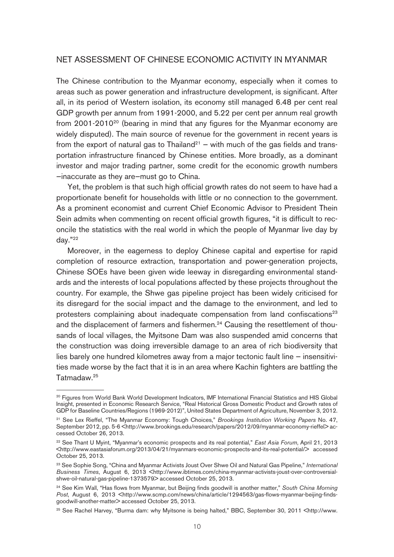#### NET ASSESSMENT OF CHINESE ECONOMIC ACTIVITY IN MYANMAR

The Chinese contribution to the Myanmar economy, especially when it comes to areas such as power generation and infrastructure development, is significant. After all, in its period of Western isolation, its economy still managed 6.48 per cent real GDP growth per annum from 1991-2000, and 5.22 per cent per annum real growth from 2001-2010<sup>20</sup> (bearing in mind that any figures for the Myanmar economy are widely disputed). The main source of revenue for the government in recent years is from the export of natural gas to Thailand<sup>21</sup> – with much of the gas fields and transportation infrastructure financed by Chinese entities. More broadly, as a dominant investor and major trading partner, some credit for the economic growth numbers —inaccurate as they are—must go to China.

Yet, the problem is that such high official growth rates do not seem to have had a proportionate benefit for households with little or no connection to the government. As a prominent economist and current Chief Economic Advisor to President Thein Sein admits when commenting on recent official growth figures, "it is difficult to reconcile the statistics with the real world in which the people of Myanmar live day by day."22

Moreover, in the eagerness to deploy Chinese capital and expertise for rapid completion of resource extraction, transportation and power-generation projects, Chinese SOEs have been given wide leeway in disregarding environmental standards and the interests of local populations affected by these projects throughout the country. For example, the Shwe gas pipeline project has been widely criticised for its disregard for the social impact and the damage to the environment, and led to protesters complaining about inadequate compensation from land confiscations<sup>23</sup> and the displacement of farmers and fishermen.<sup>24</sup> Causing the resettlement of thousands of local villages, the Myitsone Dam was also suspended amid concerns that the construction was doing irreversible damage to an area of rich biodiversity that lies barely one hundred kilometres away from a major tectonic fault line — insensitivities made worse by the fact that it is in an area where Kachin fighters are battling the Tatmadaw.25

<sup>&</sup>lt;sup>20</sup> Figures from World Bank World Development Indicators, IMF International Financial Statistics and HIS Global Insight, presented in Economic Research Service, "Real Historical Gross Domestic Product and Growth rates of GDP for Baseline Countries/Regions (1969-2012)", United States Department of Agriculture, November 3, 2012.

<sup>&</sup>lt;sup>21</sup> See Lex Rieffel, "The Myanmar Economy: Tough Choices," Brookings Institution Working Papers No. 47, September 2012, pp. 5-6 <http://www.brookings.edu/research/papers/2012/09/myanmar-economy-rieffel>accessed October 26, 2013.

<sup>&</sup>lt;sup>22</sup> See Thant U Myint, "Myanmar's economic prospects and its real potential," East Asia Forum, April 21, 2013 <http://www.eastasiaforum.org/2013/04/21/myanmars-economic-prospects-and-its-real-potential/> accessed October 25, 2013.

<sup>&</sup>lt;sup>23</sup> See Sophie Song, "China and Myanmar Activists Joust Over Shwe Oil and Natural Gas Pipeline," International Business Times, August 6, 2013 <http://www.ibtimes.com/china-myanmar-activists-joust-over-controversialshwe-oil-natural-gas-pipeline-1373579> accessed October 25, 2013.

<sup>&</sup>lt;sup>24</sup> See Kim Wall, "Has flows from Myanmar, but Beijing finds goodwill is another matter," South China Morning Post, August 6, 2013 <http://www.scmp.com/news/china/article/1294563/gas-flows-myanmar-beijing-findsgoodwill-another-matter> accessed October 25, 2013.

<sup>&</sup>lt;sup>25</sup> See Rachel Harvey, "Burma dam: why Myitsone is being halted," BBC, September 30, 2011 <http://www.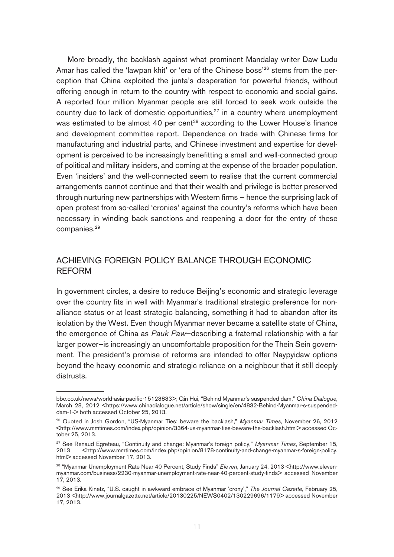More broadly, the backlash against what prominent Mandalay writer Daw Ludu Amar has called the 'lawpan khit' or 'era of the Chinese boss'<sup>26</sup> stems from the perception that China exploited the junta's desperation for powerful friends, without offering enough in return to the country with respect to economic and social gains. A reported four million Myanmar people are still forced to seek work outside the country due to lack of domestic opportunities, $27$  in a country where unemployment was estimated to be almost 40 per cent<sup>28</sup> according to the Lower House's finance and development committee report. Dependence on trade with Chinese firms for manufacturing and industrial parts, and Chinese investment and expertise for development is perceived to be increasingly benefitting a small and well-connected group of political and military insiders, and coming at the expense of the broader population. Even 'insiders' and the well-connected seem to realise that the current commercial arrangements cannot continue and that their wealth and privilege is better preserved through nurturing new partnerships with Western firms — hence the surprising lack of open protest from so-called 'cronies' against the country's reforms which have been necessary in winding back sanctions and reopening a door for the entry of these companies.<sup>29</sup>

# ACHIEVING FOREIGN POLICY BALANCE THROUGH ECONOMIC REFORM

In government circles, a desire to reduce Beijing's economic and strategic leverage over the country fits in well with Myanmar's traditional strategic preference for nonalliance status or at least strategic balancing, something it had to abandon after its isolation by the West. Even though Myanmar never became a satellite state of China, the emergence of China as Pauk Paw-describing a fraternal relationship with a far larger power—is increasingly an uncomfortable proposition for the Thein Sein government. The president's promise of reforms are intended to offer Naypyidaw options beyond the heavy economic and strategic reliance on a neighbour that it still deeply distrusts.

bbc.co.uk/news/world-asia-pacific-15123833>; Qin Hui, "Behind Myanmar's suspended dam," China Dialogue, March 28, 2012 <https://www.chinadialogue.net/article/show/single/en/4832-Behind-Myanmar-s-suspendeddam-1-> both accessed October 25, 2013.

<sup>&</sup>lt;sup>26</sup> Quoted in Josh Gordon, "US-Myanmar Ties: beware the backlash," Myanmar Times, November 26, 2012 <http://www.mmtimes.com/index.php/opinion/3364-us-myanmar-ties-beware-the-backlash.html> accessed October 25, 2013.

<sup>&</sup>lt;sup>27</sup> See Renaud Egreteau, "Continuity and change: Myanmar's foreign policy," Myanmar Times, September 15, 2013 <http://www.mmtimes.com/index.php/opinion/8178-continuity-and-change-myanmar-s-foreign-policy. html> accessed November 17, 2013.

<sup>&</sup>lt;sup>28</sup> "Myanmar Unemployment Rate Near 40 Percent, Study Finds" Eleven, January 24, 2013 <http://www.elevenmyanmar.com/business/2230-myanmar-unemployment-rate-near-40-percent-study-finds> accessed November 17, 2013.

<sup>&</sup>lt;sup>29</sup> See Erika Kinetz, "U.S. caught in awkward embrace of Myanmar 'crony'," The Journal Gazette, February 25, 2013 <http://www.journalgazette.net/article/20130225/NEWS0402/130229696/1179> accessed November 17, 2013.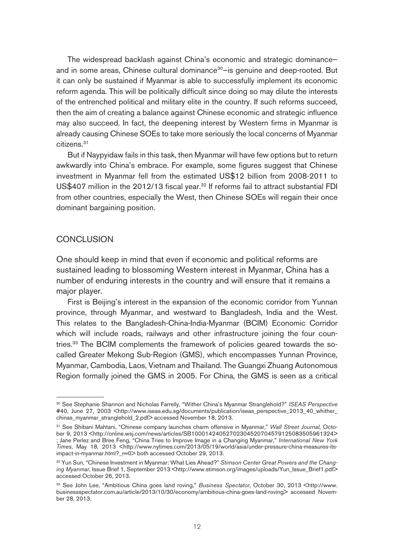The widespread backlash against China's economic and strategic dominance and in some areas, Chinese cultural dominance<sup>30</sup>-is genuine and deep-rooted. But it can only be sustained if Myanmar is able to successfully implement its economic reform agenda. This will be politically difficult since doing so may dilute the interests of the entrenched political and military elite in the country. If such reforms succeed, then the aim of creating a balance against Chinese economic and strategic influence may also succeed. In fact, the deepening interest by Western firms in Myanmar is already causing Chinese SOEs to take more seriously the local concerns of Myanmar citizens.31

But if Naypyidaw fails in this task, then Myanmar will have few options but to return awkwardly into China's embrace. For example, some figures suggest that Chinese investment in Myanmar fell from the estimated US\$12 billion from 2008-2011 to US\$407 million in the  $2012/13$  fiscal year.<sup>32</sup> If reforms fail to attract substantial FDI from other countries, especially the West, then Chinese SOEs will regain their once dominant bargaining position.

## **CONCLUSION**

One should keep in mind that even if economic and political reforms are sustained leading to blossoming Western interest in Myanmar, China has a number of enduring interests in the country and will ensure that it remains a major player.

First is Beijing's interest in the expansion of the economic corridor from Yunnan province, through Myanmar, and westward to Bangladesh, India and the West. This relates to the Bangladesh-China-India-Myanmar (BCIM) Economic Corridor which will include roads, railways and other infrastructure joining the four countries.33 The BCIM complements the framework of policies geared towards the socalled Greater Mekong Sub-Region (GMS), which encompasses Yunnan Province, Myanmar, Cambodia, Laos, Vietnam and Thailand. The Guangxi Zhuang Autonomous Region formally joined the GMS in 2005. For China, the GMS is seen as a critical

<sup>30</sup> See Stephanie Shannon and Nicholas Farrelly, "Wither China's Myanmar Stranglehold?" ISEAS Perspective #40, June 27, 2003 <http://www.iseas.edu.sg/documents/publication/iseas\_perspective\_2013\_40\_whither\_ chinas\_myanmar\_stranglehold\_2.pdf> accessed November 18, 2013.

<sup>&</sup>lt;sup>31</sup> See Shibani Mahtani, "Chinese company launches charm offensive in Myanmar," Wall Street Journal, October 9, 2013 <http://online.wsj.com/news/articles/SB10001424052702304520704579125083505961324> ; Jane Perlez and Bree Feng, "China Tries to Improve Image in a Changing Myanmar," International New York Times, May 18, 2013 <http://www.nytimes.com/2013/05/19/world/asia/under-pressure-china-measures-its $im$ pact-in-myanmar.html?  $r=0$ > both accessed October 29, 2013.

<sup>32</sup> Yun Sun, "Chinese Investment in Myanmar: What Lies Ahead?" Stimson Center Great Powers and the Changing Myanmar, Issue Brief 1, September 2013 <http://www.stimson.org/images/uploads/Yun\_Issue\_Brief1.pdf> accessed October 26, 2013.

<sup>33</sup> See John Lee, "Ambitious China goes land roving," Business Spectator, October 30, 2013 <http://www. businessspectator.com.au/article/2013/10/30/economy/ambitious-china-goes-land-roving> accessed November 28, 2013.